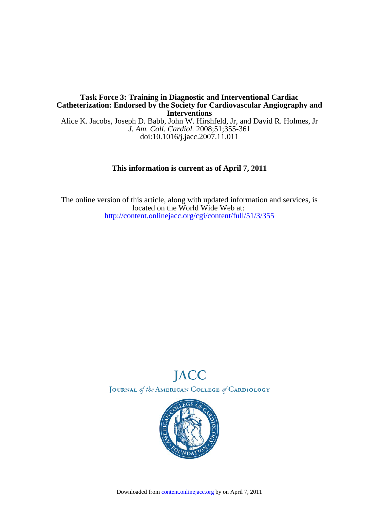## **Interventions Catheterization: Endorsed by the Society for Cardiovascular Angiography and Task Force 3: Training in Diagnostic and Interventional Cardiac**

doi:10.1016/j.jacc.2007.11.011 *J. Am. Coll. Cardiol.* 2008;51;355-361 Alice K. Jacobs, Joseph D. Babb, John W. Hirshfeld, Jr, and David R. Holmes, Jr

## **This information is current as of April 7, 2011**

<http://content.onlinejacc.org/cgi/content/full/51/3/355> located on the World Wide Web at: The online version of this article, along with updated information and services, is



JOURNAL of the AMERICAN COLLEGE of CARDIOLOGY

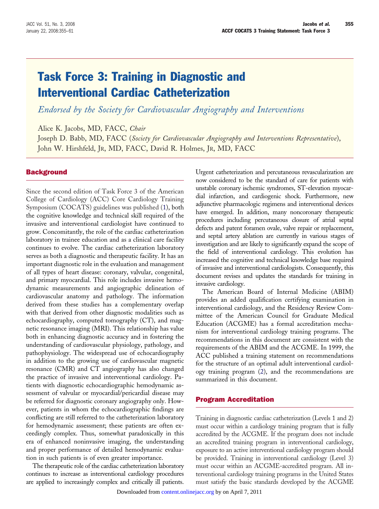# Task Force 3: Training in Diagnostic and Interventional Cardiac Catheterization

*Endorsed by the Society for Cardiovascular Angiography and Interventions*

Alice K. Jacobs, MD, FACC, *Chair*

Joseph D. Babb, MD, FACC (*Society for Cardiovascular Angiography and Interventions Representative*), John W. Hirshfeld, JR, MD, FACC, David R. Holmes, JR, MD, FACC

## **Background**

Since the second edition of Task Force 3 of the American College of Cardiology (ACC) Core Cardiology Training Symposium (COCATS) guidelines was published [\(1\)](#page-6-0), both the cognitive knowledge and technical skill required of the invasive and interventional cardiologist have continued to grow. Concomitantly, the role of the cardiac catheterization laboratory in trainee education and as a clinical care facility continues to evolve. The cardiac catheterization laboratory serves as both a diagnostic and therapeutic facility. It has an important diagnostic role in the evaluation and management of all types of heart disease: coronary, valvular, congenital, and primary myocardial. This role includes invasive hemodynamic measurements and angiographic delineation of cardiovascular anatomy and pathology. The information derived from these studies has a complementary overlap with that derived from other diagnostic modalities such as echocardiography, computed tomography (CT), and magnetic resonance imaging (MRI). This relationship has value both in enhancing diagnostic accuracy and in fostering the understanding of cardiovascular physiology, pathology, and pathophysiology. The widespread use of echocardiography in addition to the growing use of cardiovascular magnetic resonance (CMR) and CT angiography has also changed the practice of invasive and interventional cardiology. Patients with diagnostic echocardiographic hemodynamic assessment of valvular or myocardial/pericardial disease may be referred for diagnostic coronary angiography only. However, patients in whom the echocardiographic findings are conflicting are still referred to the catheterization laboratory for hemodynamic assessment; these patients are often exceedingly complex. Thus, somewhat paradoxically in this era of enhanced noninvasive imaging, the understanding and proper performance of detailed hemodynamic evaluation in such patients is of even greater importance.

The therapeutic role of the cardiac catheterization laboratory continues to increase as interventional cardiology procedures are applied to increasingly complex and critically ill patients.

Urgent catheterization and percutaneous revascularization are now considered to be the standard of care for patients with unstable coronary ischemic syndromes, ST-elevation myocardial infarction, and cardiogenic shock. Furthermore, new adjunctive pharmacologic regimens and interventional devices have emerged. In addition, many noncoronary therapeutic procedures including percutaneous closure of atrial septal defects and patent foramen ovale, valve repair or replacement, and septal artery ablation are currently in various stages of investigation and are likely to significantly expand the scope of the field of interventional cardiology. This evolution has increased the cognitive and technical knowledge base required of invasive and interventional cardiologists. Consequently, this document revises and updates the standards for training in invasive cardiology.

The American Board of Internal Medicine (ABIM) provides an added qualification certifying examination in interventional cardiology, and the Residency Review Committee of the American Council for Graduate Medical Education (ACGME) has a formal accreditation mechanism for interventional cardiology training programs. The recommendations in this document are consistent with the requirements of the ABIM and the ACGME. In 1999, the ACC published a training statement on recommendations for the structure of an optimal adult interventional cardiology training program [\(2\)](#page-6-0), and the recommendations are summarized in this document.

#### Program Accreditation

Training in diagnostic cardiac catheterization (Levels 1 and 2) must occur within a cardiology training program that is fully accredited by the ACGME. If the program does not include an accredited training program in interventional cardiology, exposure to an active interventional cardiology program should be provided. Training in interventional cardiology (Level 3) must occur within an ACGME-accredited program. All interventional cardiology training programs in the United States must satisfy the basic standards developed by the ACGME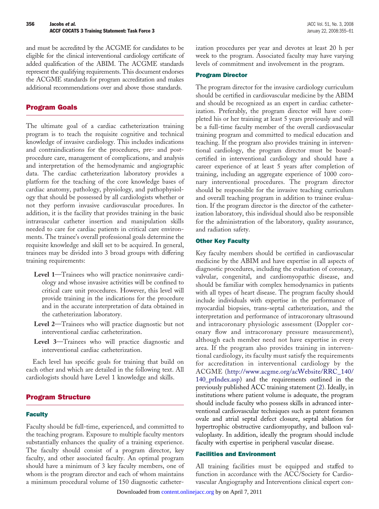and must be accredited by the ACGME for candidates to be eligible for the clinical interventional cardiology certificate of added qualification of the ABIM. The ACGME standards represent the qualifying requirements. This document endorses the ACGME standards for program accreditation and makes additional recommendations over and above those standards.

## Program Goals

The ultimate goal of a cardiac catheterization training program is to teach the requisite cognitive and technical knowledge of invasive cardiology. This includes indications and contraindications for the procedures, pre- and postprocedure care, management of complications, and analysis and interpretation of the hemodynamic and angiographic data. The cardiac catheterization laboratory provides a platform for the teaching of the core knowledge bases of cardiac anatomy, pathology, physiology, and pathophysiology that should be possessed by all cardiologists whether or not they perform invasive cardiovascular procedures. In addition, it is the facility that provides training in the basic intravascular catheter insertion and manipulation skills needed to care for cardiac patients in critical care environments. The trainee's overall professional goals determine the requisite knowledge and skill set to be acquired. In general, trainees may be divided into 3 broad groups with differing training requirements:

- **Level 1**—Trainees who will practice noninvasive cardiology and whose invasive activities will be confined to critical care unit procedures. However, this level will provide training in the indications for the procedure and in the accurate interpretation of data obtained in the catheterization laboratory.
- **Level 2**—Trainees who will practice diagnostic but not interventional cardiac catheterization.
- **Level 3**—Trainees who will practice diagnostic and interventional cardiac catheterization.

Each level has specific goals for training that build on each other and which are detailed in the following text. All cardiologists should have Level 1 knowledge and skills.

## Program Structure

#### **Faculty**

Faculty should be full-time, experienced, and committed to the teaching program. Exposure to multiple faculty mentors substantially enhances the quality of a training experience. The faculty should consist of a program director, key faculty, and other associated faculty. An optimal program should have a minimum of 3 key faculty members, one of whom is the program director and each of whom maintains a minimum procedural volume of 150 diagnostic catheterization procedures per year and devotes at least 20 h per week to the program. Associated faculty may have varying levels of commitment and involvement in the program.

#### Program Director

The program director for the invasive cardiology curriculum should be certified in cardiovascular medicine by the ABIM and should be recognized as an expert in cardiac catheterization. Preferably, the program director will have completed his or her training at least 5 years previously and will be a full-time faculty member of the overall cardiovascular training program and committed to medical education and teaching. If the program also provides training in interventional cardiology, the program director must be boardcertified in interventional cardiology and should have a career experience of at least 5 years after completion of training, including an aggregate experience of 1000 coronary interventional procedures. The program director should be responsible for the invasive teaching curriculum and overall teaching program in addition to trainee evaluation. If the program director is the director of the catheterization laboratory, this individual should also be responsible for the administration of the laboratory, quality assurance, and radiation safety.

#### **Other Key Faculty**

Key faculty members should be certified in cardiovascular medicine by the ABIM and have expertise in all aspects of diagnostic procedures, including the evaluation of coronary, valvular, congenital, and cardiomyopathic disease, and should be familiar with complex hemodynamics in patients with all types of heart disease. The program faculty should include individuals with expertise in the performance of myocardial biopsies, trans-septal catheterization, and the interpretation and performance of intracoronary ultrasound and intracoronary physiologic assessment (Doppler coronary flow and intracoronary pressure measurement), although each member need not have expertise in every area. If the program also provides training in interventional cardiology, its faculty must satisfy the requirements for accreditation in interventional cardiology by the ACGME [\(http://www.acgme.org/acWebsite/RRC\\_140/](http://www.acgme.org/acWebsite/RRC_140/140_prIndex.asp) [140\\_prIndex.asp\)](http://www.acgme.org/acWebsite/RRC_140/140_prIndex.asp) and the requirements outlined in the previously published ACC training statement [\(2\)](#page-6-0). Ideally, in institutions where patient volume is adequate, the program should include faculty who possess skills in advanced interventional cardiovascular techniques such as patent foramen ovale and atrial septal defect closure, septal ablation for hypertrophic obstructive cardiomyopathy, and balloon valvuloplasty. In addition, ideally the program should include faculty with expertise in peripheral vascular disease.

#### Facilities and Environment

All training facilities must be equipped and staffed to function in accordance with the ACC/Society for Cardiovascular Angiography and Interventions clinical expert con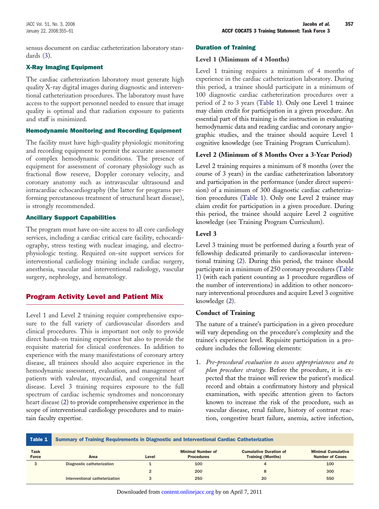sensus document on cardiac catheterization laboratory standards [\(3\)](#page-6-0).

### X-Ray Imaging Equipment

The cardiac catheterization laboratory must generate high quality X-ray digital images during diagnostic and interventional catheterization procedures. The laboratory must have access to the support personnel needed to ensure that image quality is optimal and that radiation exposure to patients and staff is minimized.

#### Hemodynamic Monitoring and Recording Equipment

The facility must have high-quality physiologic monitoring and recording equipment to permit the accurate assessment of complex hemodynamic conditions. The presence of equipment for assessment of coronary physiology such as fractional flow reserve, Doppler coronary velocity, and coronary anatomy such as intravascular ultrasound and intracardiac echocardiography (the latter for programs performing percutaneous treatment of structural heart disease), is strongly recommended.

## Ancillary Support Capabilities

The program must have on-site access to all core cardiology services, including a cardiac critical care facility, echocardiography, stress testing with nuclear imaging, and electrophysiologic testing. Required on-site support services for interventional cardiology training include cardiac surgery, anesthesia, vascular and interventional radiology, vascular surgery, nephrology, and hematology.

## Program Activity Level and Patient Mix

Level 1 and Level 2 training require comprehensive exposure to the full variety of cardiovascular disorders and clinical procedures. This is important not only to provide direct hands-on training experience but also to provide the requisite material for clinical conferences. In addition to experience with the many manifestations of coronary artery disease, all trainees should also acquire experience in the hemodynamic assessment, evaluation, and management of patients with valvular, myocardial, and congenital heart disease. Level 3 training requires exposure to the full spectrum of cardiac ischemic syndromes and noncoronary heart disease [\(2\)](#page-6-0) to provide comprehensive experience in the scope of interventional cardiology procedures and to maintain faculty expertise.

## Duration of Training

## **Level 1 (Minimum of 4 Months)**

Level 1 training requires a minimum of 4 months of experience in the cardiac catheterization laboratory. During this period, a trainee should participate in a minimum of 100 diagnostic cardiac catheterization procedures over a period of 2 to 3 years (Table 1). Only one Level 1 trainee may claim credit for participation in a given procedure. An essential part of this training is the instruction in evaluating hemodynamic data and reading cardiac and coronary angiographic studies, and the trainee should acquire Level 1 cognitive knowledge (see Training Program Curriculum).

## **Level 2 (Minimum of 8 Months Over a 3-Year Period)**

Level 2 training requires a minimum of 8 months (over the course of 3 years) in the cardiac catheterization laboratory and participation in the performance (under direct supervision) of a minimum of 300 diagnostic cardiac catheterization procedures (Table 1). Only one Level 2 trainee may claim credit for participation in a given procedure. During this period, the trainee should acquire Level 2 cognitive knowledge (see Training Program Curriculum).

## **Level 3**

Level 3 training must be performed during a fourth year of fellowship dedicated primarily to cardiovascular interventional training [\(2\)](#page-6-0). During this period, the trainee should participate in a minimum of 250 coronary procedures (Table 1) (with each patient counting as 1 procedure regardless of the number of interventions) in addition to other noncoronary interventional procedures and acquire Level 3 cognitive knowledge [\(2\)](#page-6-0).

## **Conduct of Training**

The nature of a trainee's participation in a given procedure will vary depending on the procedure's complexity and the trainee's experience level. Requisite participation in a procedure includes the following elements:

1. *Pre-procedural evaluation to assess appropriateness and to plan procedure strategy.* Before the procedure, it is expected that the trainee will review the patient's medical record and obtain a confirmatory history and physical examination, with specific attention given to factors known to increase the risk of the procedure, such as vascular disease, renal failure, history of contrast reaction, congestive heart failure, anemia, active infection,

| Table 1              | Summary of Training Requirements in Diagnostic and Interventional Cardiac Catheterization |                |                                               |                                                           |                                                     |
|----------------------|-------------------------------------------------------------------------------------------|----------------|-----------------------------------------------|-----------------------------------------------------------|-----------------------------------------------------|
| Task<br><b>Force</b> | Area                                                                                      | Level          | <b>Minimal Number of</b><br><b>Procedures</b> | <b>Cumulative Duration of</b><br><b>Training (Months)</b> | <b>Minimal Cumulative</b><br><b>Number of Cases</b> |
|                      | Diagnostic catheterization                                                                |                | 100                                           | 4                                                         | 100                                                 |
|                      |                                                                                           | $\overline{2}$ | 200                                           | 8                                                         | 300                                                 |
|                      | Interventional catheterization                                                            | 3              | 250                                           | 20                                                        | 550                                                 |

Downloaded from [content.onlinejacc.org](http://content.onlinejacc.org) by on April 7, 2011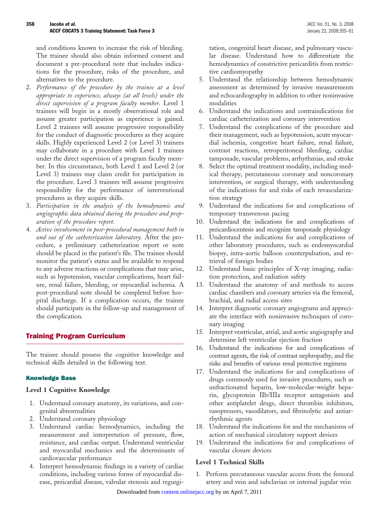and conditions known to increase the risk of bleeding. The trainee should also obtain informed consent and document a pre-procedural note that includes indications for the procedure, risks of the procedure, and alternatives to the procedure.

- 2. *Performance of the procedure by the trainee at a level appropriate to experience, always (at all levels) under the direct supervision of a program faculty member.* Level 1 trainees will begin in a mostly observational role and assume greater participation as experience is gained. Level 2 trainees will assume progressive responsibility for the conduct of diagnostic procedures as they acquire skills. Highly experienced Level 2 (or Level 3) trainees may collaborate in a procedure with Level 1 trainees under the direct supervision of a program faculty member. In this circumstance, both Level 1 and Level 2 (or Level 3) trainees may claim credit for participation in the procedure. Level 3 trainees will assume progressive responsibility for the performance of interventional procedures as they acquire skills.
- 3. *Participation in the analysis of the hemodynamic and angiographic data obtained during the procedure and preparation of the procedure report.*
- 4. *Active involvement in post-procedural management both in and out of the catheterization laboratory.* After the procedure, a preliminary catheterization report or note should be placed in the patient's file. The trainee should monitor the patient's status and be available to respond to any adverse reactions or complications that may arise, such as hypotension, vascular complications, heart failure, renal failure, bleeding, or myocardial ischemia. A post-procedural note should be completed before hospital discharge. If a complication occurs, the trainee should participate in the follow-up and management of the complication.

## Training Program Curriculum

The trainee should possess the cognitive knowledge and technical skills detailed in the following text.

## Knowledge Base

#### **Level 1 Cognitive Knowledge**

- 1. Understand coronary anatomy, its variations, and congenital abnormalities
- 2. Understand coronary physiology
- 3. Understand cardiac hemodynamics, including the measurement and interpretation of pressure, flow, resistance, and cardiac output. Understand ventricular and myocardial mechanics and the determinants of cardiovascular performance
- 4. Interpret hemodynamic findings in a variety of cardiac conditions, including various forms of myocardial disease, pericardial disease, valvular stenosis and regurgi-

tation, congenital heart disease, and pulmonary vascular disease. Understand how to differentiate the hemodynamics of constrictive pericarditis from restrictive cardiomyopathy

- 5. Understand the relationship between hemodynamic assessment as determined by invasive measurements and echocardiography in addition to other noninvasive modalities
- 6. Understand the indications and contraindications for cardiac catheterization and coronary intervention
- 7. Understand the complications of the procedure and their management, such as hypotension, acute myocardial ischemia, congestive heart failure, renal failure, contrast reactions, retroperitoneal bleeding, cardiac tamponade, vascular problems, arrhythmias, and stroke
- 8. Select the optimal treatment modality, including medical therapy, percutaneous coronary and noncoronary intervention, or surgical therapy, with understanding of the indications for and risks of each revascularization strategy
- 9. Understand the indications for and complications of temporary transvenous pacing
- 10. Understand the indications for and complications of pericardiocentesis and recognize tamponade physiology
- 11. Understand the indications for and complications of other laboratory procedures, such as endomyocardial biopsy, intra-aortic balloon counterpulsation, and retrieval of foreign bodies
- 12. Understand basic principles of X-ray imaging, radiation protection, and radiation safety
- 13. Understand the anatomy of and methods to access cardiac chambers and coronary arteries via the femoral, brachial, and radial access sites
- 14. Interpret diagnostic coronary angiograms and appreciate the interface with noninvasive techniques of coronary imaging
- 15. Interpret ventricular, atrial, and aortic angiography and determine left ventricular ejection fraction
- 16. Understand the indications for and complications of contrast agents, the risk of contrast nephropathy, and the risks and benefits of various renal protective regimens
- 17. Understand the indications for and complications of drugs commonly used for invasive procedures, such as unfractionated heparin, low-molecular-weight heparin, glycoprotein IIb/IIIa receptor antagonists and other antiplatelet drugs, direct thrombin inhibitors, vasopressors, vasodilators, and fibrinolytic and antiarrhythmic agents
- 18. Understand the indications for and the mechanisms of action of mechanical circulatory support devices
- 19. Understand the indications for and complications of vascular closure devices

## **Level 1 Technical Skills**

1. Perform percutaneous vascular access from the femoral artery and vein and subclavian or internal jugular vein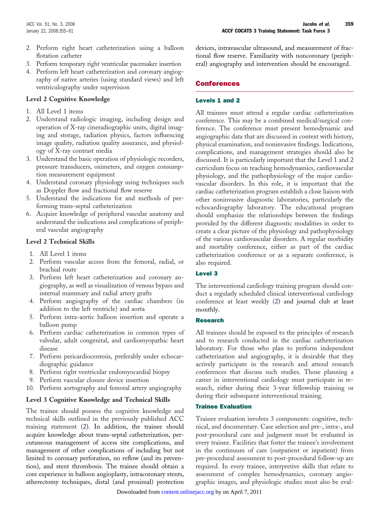- 2. Perform right heart catheterization using a balloon flotation catheter
- 3. Perform temporary right ventricular pacemaker insertion
- 4. Perform left heart catheterization and coronary angiography of native arteries (using standard views) and left ventriculography under supervision

## **Level 2 Cognitive Knowledge**

- 1. All Level 1 items
- 2. Understand radiologic imaging, including design and operation of X-ray cineradiographic units, digital imaging and storage, radiation physics, factors influencing image quality, radiation quality assurance, and physiology of X-ray contrast media
- 3. Understand the basic operation of physiologic recorders, pressure transducers, oximeters, and oxygen consumption measurement equipment
- 4. Understand coronary physiology using techniques such as Doppler flow and fractional flow reserve
- 5. Understand the indications for and methods of performing trans-septal catheterization
- 6. Acquire knowledge of peripheral vascular anatomy and understand the indications and complications of peripheral vascular angiography

## **Level 2 Technical Skills**

- 1. All Level 1 items
- 2. Perform vascular access from the femoral, radial, or brachial route
- 3. Perform left heart catheterization and coronary angiography, as well as visualization of venous bypass and internal mammary and radial artery grafts
- 4. Perform angiography of the cardiac chambers (in addition to the left ventricle) and aorta
- 5. Perform intra-aortic balloon insertion and operate a balloon pump
- 6. Perform cardiac catheterization in common types of valvular, adult congenital, and cardiomyopathic heart disease
- 7. Perform pericardiocentesis, preferably under echocardiographic guidance
- 8. Perform right ventricular endomyocardial biopsy
- 9. Perform vascular closure device insertion
- 10. Perform aortography and femoral artery angiography

## **Level 3 Cognitive Knowledge and Technical Skills**

The trainee should possess the cognitive knowledge and technical skills outlined in the previously published ACC training statement [\(2\)](#page-6-0). In addition, the trainee should acquire knowledge about trans-septal catheterization, percutaneous management of access site complications, and management of other complications of including but not limited to coronary perforation, no reflow (and its prevention), and stent thrombosis. The trainee should obtain a core experience in balloon angioplasty, intracoronary stents, atherectomy techniques, distal (and proximal) protection

devices, intravascular ultrasound, and measurement of fractional flow reserve. Familiarity with noncoronary (peripheral) angiography and intervention should be encouraged.

## Conferences

### Levels 1 and 2

All trainees must attend a regular cardiac catheterization conference. This may be a combined medical/surgical conference. The conference must present hemodynamic and angiographic data that are discussed in context with history, physical examination, and noninvasive findings. Indications, complications, and management strategies should also be discussed. It is particularly important that the Level 1 and 2 curriculum focus on teaching hemodynamics, cardiovascular physiology, and the pathophysiology of the major cardiovascular disorders. In this role, it is important that the cardiac catheterization program establish a close liaison with other noninvasive diagnostic laboratories, particularly the echocardiography laboratory. The educational program should emphasize the relationships between the findings provided by the different diagnostic modalities in order to create a clear picture of the physiology and pathophysiology of the various cardiovascular disorders. A regular morbidity and mortality conference, either as part of the cardiac catheterization conference or as a separate conference, is also required.

## Level 3

The interventional cardiology training program should conduct a regularly scheduled clinical interventional cardiology conference at least weekly [\(2\)](#page-6-0) and journal club at least monthly.

#### Research

All trainees should be exposed to the principles of research and to research conducted in the cardiac catheterization laboratory. For those who plan to perform independent catheterization and angiography, it is desirable that they actively participate in the research and attend research conferences that discuss such studies. Those planning a career in interventional cardiology must participate in research, either during their 3-year fellowship training or during their subsequent interventional training.

#### Trainee Evaluation

Trainee evaluation involves 3 components: cognitive, technical, and documentary. Case selection and pre-, intra-, and post-procedural care and judgment must be evaluated in every trainee. Facilities that foster the trainee's involvement in the continuum of care (outpatient or inpatient) from pre-procedural assessment to post-procedural follow-up are required. In every trainee, interpretive skills that relate to assessment of complex hemodynamics, coronary angiographic images, and physiologic studies must also be eval-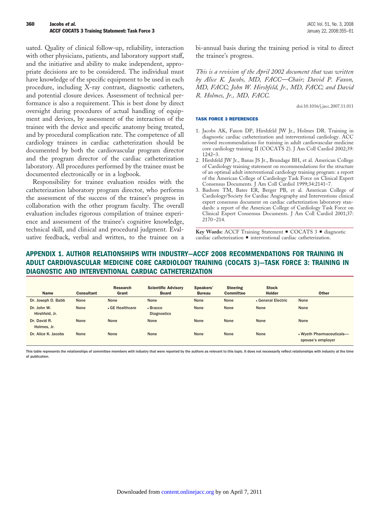<span id="page-6-0"></span>uated. Quality of clinical follow-up, reliability, interaction with other physicians, patients, and laboratory support staff, and the initiative and ability to make independent, appropriate decisions are to be considered. The individual must have knowledge of the specific equipment to be used in each procedure, including X-ray contrast, diagnostic catheters, and potential closure devices. Assessment of technical performance is also a requirement. This is best done by direct oversight during procedures of actual handling of equipment and devices, by assessment of the interaction of the trainee with the device and specific anatomy being treated, and by procedural complication rate. The competence of all cardiology trainees in cardiac catheterization should be documented by both the cardiovascular program director and the program director of the cardiac catheterization laboratory. All procedures performed by the trainee must be documented electronically or in a logbook.

Responsibility for trainee evaluation resides with the catheterization laboratory program director, who performs the assessment of the success of the trainee's progress in collaboration with the other program faculty. The overall evaluation includes rigorous compilation of trainee experience and assessment of the trainee's cognitive knowledge, technical skill, and clinical and procedural judgment. Evaluative feedback, verbal and written, to the trainee on a bi-annual basis during the training period is vital to direct the trainee's progress.

*This is a revision of the April 2002 document that was written by Alice K. Jacobs, MD, FACC—Chair; David P. Faxon, MD, FACC; John W. Hirshfeld, Jr., MD, FACC; and David R. Holmes, Jr., MD, FACC.*

doi:10.1016/j.jacc.2007.11.011

#### TASK FORCE 3 REFERENCES

- 1. Jacobs AK, Faxon DP, Hirshfeld JW Jr., Holmes DR. Training in diagnostic cardiac catheterization and interventional cardiology. ACC revised recommendations for training in adult cardiovascular medicine core cardiology training II (COCATS 2). J Am Coll Cardiol 2002;39: 1242–3.
- 2. Hirshfeld JW Jr., Banas JS Jr., Brundage BH, et al. American College of Cardiology training statement on recommendations for the structure of an optimal adult interventional cardiology training program: a report of the American College of Cardiology Task Force on Clinical Expert Consensus Documents. J Am Coll Cardiol 1999;34:2141–7.
- 3. Bashore TM, Bates ER, Berger PB, et al. American College of Cardiology/Society for Cardiac Angiography and Interventions clinical expert consensus document on cardiac catheterization laboratory standards: a report of the American College of Cardiology Task Force on Clinical Expert Consensus Documents. J Am Coll Cardiol 2001;37: 2170 –214.

**Key Words:** ACCF Training Statement ■ COCATS 3 ■ diagnostic  $cardiac$  catheterization  $\blacksquare$  interventional cardiac catheterization.

## **APPENDIX 1. AUTHOR RELATIONSHIPS WITH INDUSTRY—ACCF 2008 RECOMMENDATIONS FOR TRAINING IN ADULT CARDIOVASCULAR MEDICINE CORE CARDIOLOGY TRAINING (COCATS 3)—TASK FORCE 3: TRAINING IN DIAGNOSTIC AND INTERVENTIONAL CARDIAC CATHETERIZATION**

| <b>Name</b>                   | <b>Consultant</b> | <b>Research</b><br>Grant | <b>Scientific Advisory</b><br><b>Board</b> | Speakers'<br><b>Bureau</b> | <b>Steering</b><br><b>Committee</b> | <b>Stock</b><br><b>Holder</b> | <b>Other</b>                                  |
|-------------------------------|-------------------|--------------------------|--------------------------------------------|----------------------------|-------------------------------------|-------------------------------|-----------------------------------------------|
| Dr. Joseph D. Babb            | None              | None                     | None                                       | None                       | None                                | • General Electric            | None                                          |
| Dr. John W.<br>Hirshfeld, Jr. | None              | • GE Healthcare          | • Bracco<br><b>Diagnostics</b>             | None                       | None                                | None                          | None                                          |
| Dr. David R.<br>Holmes, Jr.   | None              | None                     | None                                       | None                       | None                                | None                          | None                                          |
| Dr. Alice K. Jacobs           | None              | None                     | None                                       | None                       | None                                | None                          | • Wyeth Pharmaceuticals-<br>spouse's employer |

This table represents the relationships of committee members with industry that were reported by the authors as relevant to this topic. It does not necessarily reflect relationships with industry at the time of publication.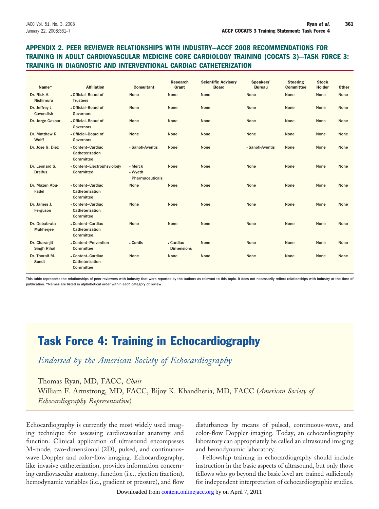## **APPENDIX 2. PEER REVIEWER RELATIONSHIPS WITH INDUSTRY—ACCF 2008 RECOMMENDATIONS FOR TRAINING IN ADULT CARDIOVASCULAR MEDICINE CORE CARDIOLOGY TRAINING (COCATS 3)—TASK FORCE 3: TRAINING IN DIAGNOSTIC AND INTERVENTIONAL CARDIAC CATHETERIZATION**

| Name*                               | <b>Affiliation</b>                                | <b>Consultant</b>                              | <b>Research</b><br>Grant       | <b>Scientific Advisory</b><br><b>Board</b> | Speakers'<br><b>Bureau</b> | <b>Steering</b><br><b>Committee</b> | <b>Stock</b><br><b>Holder</b> | <b>Other</b> |
|-------------------------------------|---------------------------------------------------|------------------------------------------------|--------------------------------|--------------------------------------------|----------------------------|-------------------------------------|-------------------------------|--------------|
| Dr. Rick A.<br><b>Nishimura</b>     | • Official-Board of<br><b>Trustees</b>            | None                                           | None                           | None                                       | None                       | None                                | None                          | None         |
| Dr. Jeffrey J.<br>Cavendish         | • Official-Board of<br><b>Governors</b>           | None                                           | None                           | None                                       | None                       | None                                | None                          | None         |
| Dr. Jorge Gaspar                    | • Official-Board of<br><b>Governors</b>           | None                                           | None                           | None                                       | None                       | None                                | None                          | None         |
| Dr. Matthew R.<br>Wolff             | • Official-Board of<br><b>Governors</b>           | None                                           | None                           | None                                       | None                       | None                                | None                          | None         |
| Dr. Jose G. Diez                    | • Content-Cardiac<br>Catheterization<br>Committee | • Sanofi-Aventis                               | None                           | None                                       | • Sanofi-Aventis           | None                                | None                          | None         |
| Dr. Leonard S.<br><b>Dreifus</b>    | • Content-Electrophsyiology<br>Committee          | $•$ Merck<br>• Wyeth<br><b>Pharmaceuticals</b> | None                           | None                                       | None                       | None                                | None                          | None         |
| Dr. Mazen Abu-<br>Fadel             | • Content-Cardiac<br>Catheterization<br>Committee | None                                           | None                           | None                                       | None                       | None                                | None                          | None         |
| Dr. James J.<br>Ferguson            | • Content-Cardiac<br>Catheterization<br>Committee | None                                           | None                           | None                                       | None                       | None                                | None                          | None         |
| Dr. Debabrata<br>Mukherjee          | • Content-Cardiac<br>Catheterization<br>Committee | None                                           | None                           | None                                       | None                       | None                                | None                          | None         |
| Dr. Charanjit<br><b>Singh Rihal</b> | • Content-Prevention<br>Committee                 | • Cordis                                       | • Cardiac<br><b>Dimensions</b> | None                                       | None                       | None                                | None                          | None         |
| Dr. Thoralf M.<br>Sundt             | • Content-Cardiac<br>Catheterization<br>Committee | None                                           | None                           | None                                       | None                       | None                                | None                          | None         |

This table represents the relationships of peer reviewers with industry that were reported by the authors as relevant to this topic. It does not necessarily reflect relationships with industry at the time of publication. \*Names are listed in alphabetical order within each category of review.

## Task Force 4: Training in Echocardiography

*Endorsed by the American Society of Echocardiography*

Thomas Ryan, MD, FACC, *Chair* William F. Armstrong, MD, FACC, Bijoy K. Khandheria, MD, FACC (*American Society of Echocardiography Representative*)

Echocardiography is currently the most widely used imaging technique for assessing cardiovascular anatomy and function. Clinical application of ultrasound encompasses M-mode, two-dimensional (2D), pulsed, and continuouswave Doppler and color-flow imaging. Echocardiography, like invasive catheterization, provides information concerning cardiovascular anatomy, function (i.e., ejection fraction), hemodynamic variables (i.e., gradient or pressure), and flow

disturbances by means of pulsed, continuous-wave, and color-flow Doppler imaging. Today, an echocardiography laboratory can appropriately be called an ultrasound imaging and hemodynamic laboratory.

Fellowship training in echocardiography should include instruction in the basic aspects of ultrasound, but only those fellows who go beyond the basic level are trained sufficiently for independent interpretation of echocardiographic studies.